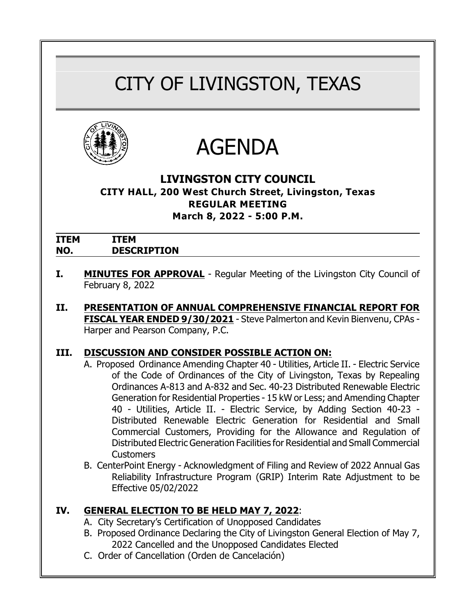# CITY OF LIVINGSTON, TEXAS





# **LIVINGSTON CITY COUNCIL**

#### **CITY HALL, 200 West Church Street, Livingston, Texas REGULAR MEETING March 8, 2022 - 5:00 P.M.**

| <b>ITEM</b> | <b>EM</b>          |
|-------------|--------------------|
| NO.         | <b>DESCRIPTION</b> |

- **I. MINUTES FOR APPROVAL** Regular Meeting of the Livingston City Council of February 8, 2022
- **II. PRESENTATION OF ANNUAL COMPREHENSIVE FINANCIAL REPORT FOR FISCAL YEAR ENDED 9/30/2021** - Steve Palmerton and Kevin Bienvenu, CPAs - Harper and Pearson Company, P.C.

# **III. DISCUSSION AND CONSIDER POSSIBLE ACTION ON:**

- A. Proposed Ordinance Amending Chapter 40 Utilities, Article II. Electric Service of the Code of Ordinances of the City of Livingston, Texas by Repealing Ordinances A-813 and A-832 and Sec. 40-23 Distributed Renewable Electric Generation for Residential Properties - 15 kW or Less; and Amending Chapter 40 - Utilities, Article II. - Electric Service, by Adding Section 40-23 - Distributed Renewable Electric Generation for Residential and Small Commercial Customers, Providing for the Allowance and Regulation of Distributed Electric Generation Facilities for Residential and Small Commercial Customers
- B. CenterPoint Energy Acknowledgment of Filing and Review of 2022 Annual Gas Reliability Infrastructure Program (GRIP) Interim Rate Adjustment to be Effective 05/02/2022

# **IV. GENERAL ELECTION TO BE HELD MAY 7, 2022**:

- A. City Secretary's Certification of Unopposed Candidates
- B. Proposed Ordinance Declaring the City of Livingston General Election of May 7, 2022 Cancelled and the Unopposed Candidates Elected
- C. Order of Cancellation *(Orden de Cancelación)*